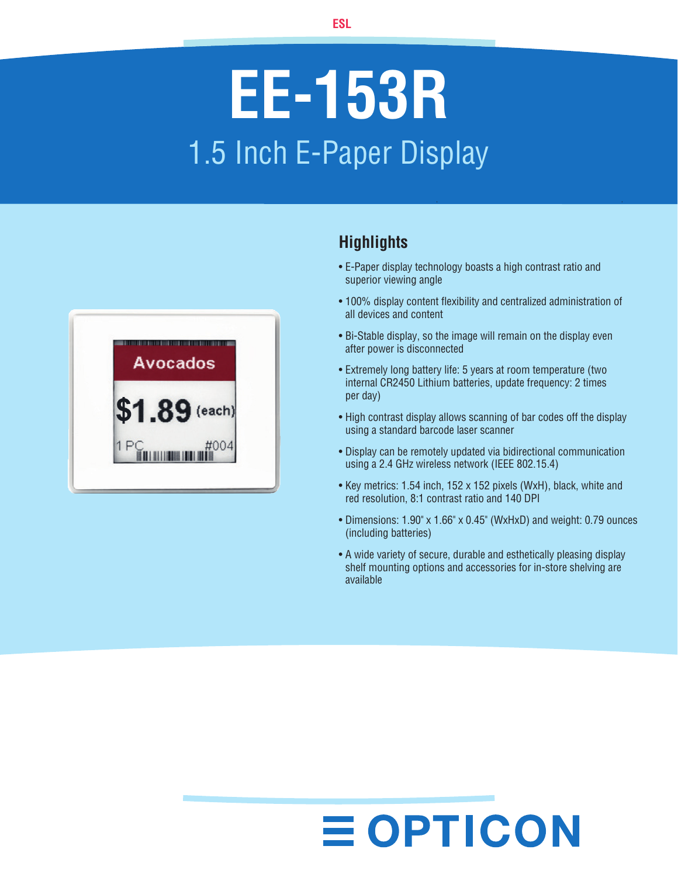# **EE-153R** 1.5 Inch E-Paper Display



### **Highlights**

- E-Paper display technology boasts a high contrast ratio and superior viewing angle
- 100% display content flexibility and centralized administration of all devices and content
- Bi-Stable display, so the image will remain on the display even after power is disconnected
- Extremely long battery life: 5 years at room temperature (two internal CR2450 Lithium batteries, update frequency: 2 times per day)
- High contrast display allows scanning of bar codes off the display using a standard barcode laser scanner
- Display can be remotely updated via bidirectional communication using a 2.4 GHz wireless network (IEEE 802.15.4)
- Key metrics: 1.54 inch, 152 x 152 pixels (WxH), black, white and red resolution, 8:1 contrast ratio and 140 DPI
- Dimensions: 1.90" x 1.66" x 0.45" (WxHxD) and weight: 0.79 ounces (including batteries)
- A wide variety of secure, durable and esthetically pleasing display shelf mounting options and accessories for in-store shelving are available